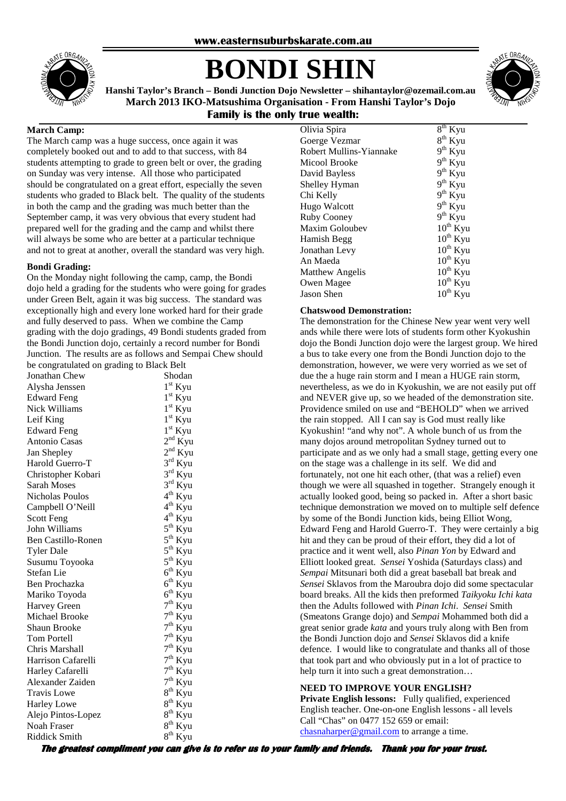

# **BONDI SHIN**



**Hanshi Taylor's Branch – Bondi Junction Dojo Newsletter – shihantaylor@ozemail.com.au March 2013 IKO-Matsushima Organisation - From Hanshi Taylor's Dojo Family is the only true wealth:** 

#### **March Camp:**

The March camp was a huge success, once again it was completely booked out and to add to that success, with 84 students attempting to grade to green belt or over, the grading on Sunday was very intense. All those who participated should be congratulated on a great effort, especially the seven students who graded to Black belt. The quality of the students in both the camp and the grading was much better than the September camp, it was very obvious that every student had prepared well for the grading and the camp and whilst there will always be some who are better at a particular technique and not to great at another, overall the standard was very high.

#### **Bondi Grading:**

On the Monday night following the camp, camp, the Bondi dojo held a grading for the students who were going for grades under Green Belt, again it was big success. The standard was exceptionally high and every lone worked hard for their grade and fully deserved to pass. When we combine the Camp grading with the dojo gradings, 49 Bondi students graded from the Bondi Junction dojo, certainly a record number for Bondi Junction. The results are as follows and Sempai Chew should be congratulated on grading to Black Belt

| $\cdot$ on $\sigma$ and $\sigma$ |                     |
|----------------------------------|---------------------|
| Jonathan Chew                    | Shodan              |
| Alysha Jenssen                   | $1st$ Kyu           |
| <b>Edward Feng</b>               | $1st$ Kyu           |
| <b>Nick Williams</b>             | $1st$ Kyu           |
| Leif King                        | $1st$ Kyu           |
| <b>Edward Feng</b>               | $1st$ Kyu           |
| Antonio Casas                    | $2nd$ Kyu           |
| Jan Shepley                      | $2nd$ Kyu           |
| Harold Guerro-T                  | $3^{\text{rd}}$ Kyu |
| Christopher Kobari               | $3rd$ Kyu           |
| <b>Sarah Moses</b>               | $3^{\text{rd}}$ Kyu |
| <b>Nicholas Poulos</b>           | $4th$ Kyu           |
| Campbell O'Neill                 | $4th$ Kyu           |
| <b>Scott Feng</b>                | $4^{th}$ Kyu        |
| John Williams                    | $5^{\text{th}}$ Kyu |
| Ben Castillo-Ronen               | $5^{\text{th}}$ Kyu |
| <b>Tyler Dale</b>                | $5^{th}$ Kyu        |
| Susumu Toyooka                   | $5^{th}$ Kyu        |
| Stefan Lie                       | $6th$ Kyu           |
| Ben Prochazka                    | $6th$ Kyu           |
| Mariko Toyoda                    | $6th$ Kyu           |
| Harvey Green                     | $7th$ Kyu           |
| Michael Brooke                   | $7th$ Kyu           |
| <b>Shaun Brooke</b>              | $7th$ Kyu           |
| <b>Tom Portell</b>               | $7th$ Kyu           |
| Chris Marshall                   | $7^{\text{th}}$ Kyu |
| Harrison Cafarelli               | $7^{\text{th}}$ Kyu |
| Harley Cafarelli                 | $7th$ Kyu           |
| Alexander Zaiden                 | $7^{\text{th}}$ Kyu |
| <b>Travis Lowe</b>               | $8^{th}$ Kyu        |
| Harley Lowe                      | $8^{th}$ Kyu        |
| Alejo Pintos-Lopez               | $8th$ Kyu           |
| Noah Fraser                      | 8 <sup>th</sup> Kyu |
| <b>Riddick Smith</b>             | $8th$ Kyu           |

| $8^{th}$ Kyu  |
|---------------|
|               |
| $8^{th}$ Kyu  |
| $9th$ Kyu     |
| $9th$ Kyu     |
| $9^{th}$ Kyu  |
| $9^{th}$ Kyu  |
| $9^{th}$ Kyu  |
| $9^{th}$ Kyu  |
| $9th$ Kyu     |
| $10^{th}$ Kyu |
| $10^{th}$ Kyu |
| $10^{th}$ Kyu |
| $10^{th}$ Kyu |
| $10^{th}$ Kyu |
| $10^{th}$ Kyu |
| $10^{th}$ Kyu |
|               |

#### **Chatswood Demonstration:**

The demonstration for the Chinese New year went very well ands while there were lots of students form other Kyokushin dojo the Bondi Junction dojo were the largest group. We hired a bus to take every one from the Bondi Junction dojo to the demonstration, however, we were very worried as we set of due the a huge rain storm and I mean a HUGE rain storm, nevertheless, as we do in Kyokushin, we are not easily put off and NEVER give up, so we headed of the demonstration site. Providence smiled on use and "BEHOLD" when we arrived the rain stopped. All I can say is God must really like Kyokushin! "and why not". A whole bunch of us from the many dojos around metropolitan Sydney turned out to participate and as we only had a small stage, getting every one on the stage was a challenge in its self. We did and fortunately, not one hit each other, (that was a relief) even though we were all squashed in together. Strangely enough it actually looked good, being so packed in. After a short basic technique demonstration we moved on to multiple self defence by some of the Bondi Junction kids, being Elliot Wong, Edward Feng and Harold Guerro-T. They were certainly a big hit and they can be proud of their effort, they did a lot of practice and it went well, also *Pinan Yon* by Edward and Elliott looked great. *Sensei* Yoshida (Saturdays class) and *Sempai* Mitsunari both did a great baseball bat break and *Sensei* Sklavos from the Maroubra dojo did some spectacular board breaks. All the kids then preformed *Taikyoku Ichi kata* then the Adults followed with *Pinan Ichi*. *Sensei* Smith (Smeatons Grange dojo) and *Sempai* Mohammed both did a great senior grade *kata* and yours truly along with Ben from the Bondi Junction dojo and *Sensei* Sklavos did a knife defence. I would like to congratulate and thanks all of those that took part and who obviously put in a lot of practice to help turn it into such a great demonstration…

#### **NEED TO IMPROVE YOUR ENGLISH?**

**Private English lessons:** Fully qualified, experienced English teacher. One-on-one English lessons - all levels Call "Chas" on 0477 152 659 or email: chasnaharper@gmail.com to arrange a time.